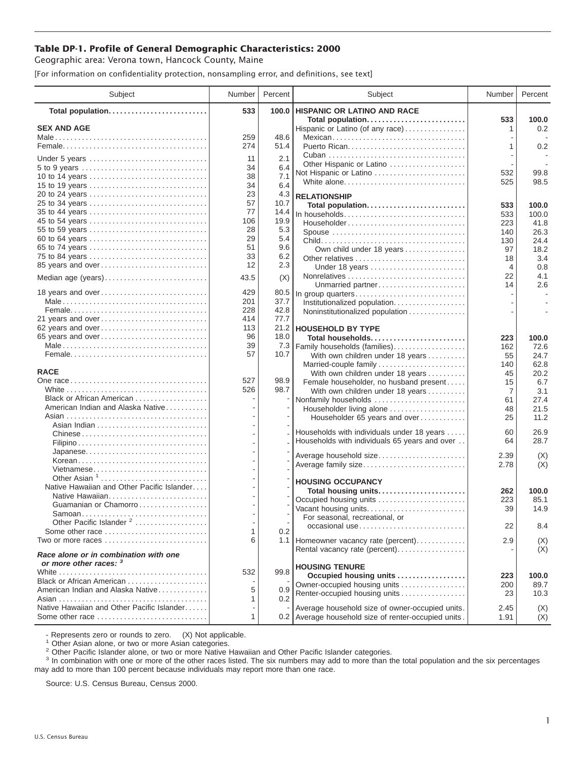## **Table DP-1. Profile of General Demographic Characteristics: 2000**

Geographic area: Verona town, Hancock County, Maine

[For information on confidentiality protection, nonsampling error, and definitions, see text]

| Subject                                                        | Number   | Percent     | Subject                                                   | Number         | Percent        |
|----------------------------------------------------------------|----------|-------------|-----------------------------------------------------------|----------------|----------------|
| Total population                                               | 533      | 100.0       | <b>HISPANIC OR LATINO AND RACE</b>                        |                |                |
| <b>SEX AND AGE</b>                                             |          |             | Total population<br>Hispanic or Latino (of any race)      | 533<br>1       | 100.0<br>0.2   |
|                                                                | 259      | 48.6        | Mexican                                                   |                |                |
|                                                                | 274      | 51.4        |                                                           | 1              | 0.2            |
|                                                                |          |             |                                                           |                |                |
| Under 5 years                                                  | 11       | 2.1         | Other Hispanic or Latino                                  |                |                |
| 5 to 9 years<br>10 to 14 years                                 | 34<br>38 | 6.4<br>7.1  | Not Hispanic or Latino                                    | 532            | 99.8           |
| 15 to 19 years                                                 | 34       | 6.4         | White alone                                               | 525            | 98.5           |
| 20 to 24 years                                                 | 23       | 4.3         |                                                           |                |                |
| 25 to 34 years                                                 | 57       | 10.7        | <b>RELATIONSHIP</b><br>Total population                   |                |                |
| 35 to 44 years                                                 | 77       | 14.4        | In households                                             | 533<br>533     | 100.0<br>100.0 |
| 45 to 54 years                                                 | 106      | 19.9        | Householder                                               | 223            | 41.8           |
| 55 to 59 years                                                 | 28       | 5.3         | Spouse                                                    | 140            | 26.3           |
| 60 to 64 years                                                 | 29       | 5.4         |                                                           | 130            | 24.4           |
| 65 to 74 years                                                 | 51       | 9.6         | Own child under 18 years                                  | 97             | 18.2           |
| 75 to 84 years                                                 | 33       | 6.2         | Other relatives                                           | 18             | 3.4            |
| 85 years and over                                              | 12       | 2.3         | Under 18 years                                            | $\overline{4}$ | 0.8            |
| Median age (years)                                             | 43.5     | (X)         |                                                           | 22             | 4.1            |
|                                                                |          |             | Unmarried partner                                         | 14             | 2.6            |
| 18 years and over                                              | 429      | 80.5        | In group quarters                                         |                |                |
|                                                                | 201      | 37.7        | Institutionalized population                              |                |                |
|                                                                | 228      | 42.8        | Noninstitutionalized population                           |                |                |
| 21 years and over                                              | 414      | 77.7        |                                                           |                |                |
| 62 years and over                                              | 113      |             | 21.2 HOUSEHOLD BY TYPE                                    |                |                |
| 65 years and over                                              | 96<br>39 | 18.0        | Total households                                          | 223            | 100.0          |
|                                                                | 57       | 7.3<br>10.7 | Family households (families)                              | 162            | 72.6           |
|                                                                |          |             | With own children under 18 years                          | 55             | 24.7<br>62.8   |
| <b>RACE</b>                                                    |          |             | Married-couple family<br>With own children under 18 years | 140<br>45      | 20.2           |
|                                                                | 527      | 98.9        | Female householder, no husband present                    | 15             | 6.7            |
|                                                                | 526      | 98.7        | With own children under 18 years                          | 7              | 3.1            |
| Black or African American                                      |          |             | Nonfamily households                                      | 61             | 27.4           |
| American Indian and Alaska Native                              |          |             | Householder living alone                                  | 48             | 21.5           |
|                                                                |          |             | Householder 65 years and over                             | 25             | 11.2           |
|                                                                |          |             |                                                           |                |                |
|                                                                |          |             | Households with individuals under 18 years                | 60             | 26.9           |
|                                                                |          |             | Households with individuals 65 years and over             | 64             | 28.7           |
|                                                                |          |             | Average household size                                    | 2.39           | (X)            |
| Korean                                                         |          |             | Average family size                                       | 2.78           | (X)            |
| Vietnamese                                                     |          |             |                                                           |                |                |
| Other Asian <sup>1</sup>                                       |          |             | <b>HOUSING OCCUPANCY</b>                                  |                |                |
| Native Hawaiian and Other Pacific Islander                     |          |             | Total housing units                                       | 262            | 100.0          |
| Native Hawaiian<br>Guamanian or Chamorro                       |          |             | Occupied housing units                                    | 223            | 85.1           |
| Samoan                                                         |          |             | Vacant housing units                                      | 39             | 14.9           |
| Other Pacific Islander <sup>2</sup>                            |          |             | For seasonal, recreational, or                            |                |                |
| Some other race                                                | 1        | 0.2         | occasional use                                            | 22             | 8.4            |
| Two or more races                                              | 6        |             | 1.1 Homeowner vacancy rate (percent)                      | 2.9            | (X)            |
|                                                                |          |             | Rental vacancy rate (percent)                             |                | (X)            |
| Race alone or in combination with one                          |          |             |                                                           |                |                |
| or more other races: 3                                         |          |             | <b>HOUSING TENURE</b>                                     |                |                |
|                                                                | 532      | 99.8        | Occupied housing units                                    | 223            | 100.0          |
| Black or African American<br>American Indian and Alaska Native |          |             | Owner-occupied housing units                              | 200            | 89.7           |
|                                                                | 5<br>1   | 0.9<br>0.2  | Renter-occupied housing units                             | 23             | 10.3           |
| Native Hawaiian and Other Pacific Islander                     |          |             | Average household size of owner-occupied units.           | 2.45           |                |
| Some other race                                                | 1        |             | 0.2 Average household size of renter-occupied units.      | 1.91           | (X)<br>(X)     |
|                                                                |          |             |                                                           |                |                |

- Represents zero or rounds to zero. (X) Not applicable.<br><sup>1</sup> Other Asian alone, or two or more Asian categories.

<sup>2</sup> Other Pacific Islander alone, or two or more Native Hawaiian and Other Pacific Islander categories.<br><sup>3</sup> In combination with one or more of the other races listed. The six numbers may add to more than the total populati may add to more than 100 percent because individuals may report more than one race.

Source: U.S. Census Bureau, Census 2000.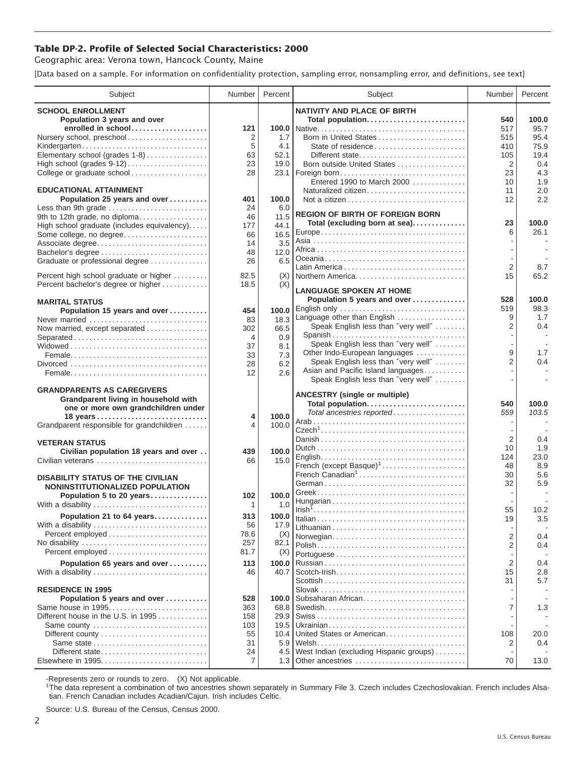## **Table DP-2. Profile of Selected Social Characteristics: 2000**

Geographic area: Verona town, Hancock County, Maine

[Data based on a sample. For information on confidentiality protection, sampling error, nonsampling error, and definitions, see text]

| Subject                                     | Number      | Percent      | Subject                                                              | Number                   | Percent                  |
|---------------------------------------------|-------------|--------------|----------------------------------------------------------------------|--------------------------|--------------------------|
| <b>SCHOOL ENROLLMENT</b>                    |             |              | <b>NATIVITY AND PLACE OF BIRTH</b>                                   |                          |                          |
| Population 3 years and over                 |             |              | Total population                                                     | 540                      | 100.0                    |
| enrolled in school                          | 121         |              |                                                                      | 517                      | 95.7                     |
| Nursery school, preschool                   | 2           | 1.7          | Born in United States                                                | 515                      | 95.4                     |
| Kindergarten                                | 5           | 4.1          |                                                                      | 410                      | 75.9                     |
| Elementary school (grades 1-8)              | 63<br>23    | 52.1<br>19.0 | Different state<br>Born outside United States                        | 105                      | 19.4                     |
| College or graduate school                  | 28          |              | 23.1   Foreign born                                                  | $\overline{2}$<br>23     | 0.4<br>4.3               |
|                                             |             |              | Entered 1990 to March 2000                                           | 10                       | 1.9                      |
| <b>EDUCATIONAL ATTAINMENT</b>               |             |              | Naturalized citizen                                                  | 11                       | 2.0                      |
| Population 25 years and over                | 401         | 100.0        |                                                                      | 12                       | 2.2                      |
| Less than 9th grade                         | 24          | 6.0          | <b>REGION OF BIRTH OF FOREIGN BORN</b>                               |                          |                          |
| 9th to 12th grade, no diploma               | 46          | 11.5         | Total (excluding born at sea)                                        | 23                       | 100.0                    |
| High school graduate (includes equivalency) | 177         | 44.1         |                                                                      | 6                        | 26.1                     |
| Some college, no degree                     | 66<br>14    | 16.5<br>3.5  |                                                                      |                          |                          |
| Associate degree                            | 48          | 12.0         |                                                                      |                          |                          |
| Graduate or professional degree             | 26          | 6.5          |                                                                      |                          |                          |
|                                             |             |              |                                                                      | $\overline{2}$           | 8.7                      |
| Percent high school graduate or higher      | 82.5        | (X)          | Northern America                                                     | 15                       | 65.2                     |
| Percent bachelor's degree or higher         | 18.5        | (X)          | <b>LANGUAGE SPOKEN AT HOME</b>                                       |                          |                          |
| <b>MARITAL STATUS</b>                       |             |              | Population 5 years and over                                          | 528                      | 100.0                    |
| Population 15 years and over                | 454         | 100.0        | English only                                                         | 519                      | 98.3                     |
| Never married                               | 83          | 18.3         | Language other than English                                          | 9                        | 1.7                      |
| Now married, except separated               | 302         | 66.5         | Speak English less than "very well"                                  | 2                        | 0.4                      |
| Separated                                   | 4           | 0.9          | Spanish                                                              |                          | $\overline{\phantom{a}}$ |
|                                             | 37          | 8.1          | Speak English less than "very well"                                  | 9                        |                          |
|                                             | 33          | 7.3          | Other Indo-European languages<br>Speak English less than "very well" | $\overline{2}$           | 1.7<br>0.4               |
|                                             | 28          | 6.2          | Asian and Pacific Island languages                                   |                          |                          |
|                                             | 12          | 2.6          | Speak English less than "very well"                                  |                          |                          |
| <b>GRANDPARENTS AS CAREGIVERS</b>           |             |              |                                                                      |                          |                          |
| Grandparent living in household with        |             |              | <b>ANCESTRY (single or multiple)</b>                                 |                          |                          |
| one or more own grandchildren under         |             |              | Total population<br>Total ancestries reported                        | 540<br>559               | 100.0<br>103.5           |
|                                             | 4           | 100.0        |                                                                      | $\overline{\phantom{a}}$ |                          |
| Grandparent responsible for grandchildren   | 4           | 100.0        |                                                                      |                          |                          |
| <b>VETERAN STATUS</b>                       |             |              |                                                                      | $\overline{2}$           | 0.4                      |
| Civilian population 18 years and over       | 439         | 100.0        |                                                                      | 10                       | 1.9                      |
| Civilian veterans                           | 66          | 15.0         |                                                                      | 124                      | 23.0                     |
|                                             |             |              | French (except Basque) <sup>1</sup>                                  | 48                       | 8.9                      |
| <b>DISABILITY STATUS OF THE CIVILIAN</b>    |             |              | French Canadian <sup>1</sup>                                         | 30<br>32                 | 5.6                      |
| NONINSTITUTIONALIZED POPULATION             |             |              |                                                                      |                          | 5.9                      |
| Population 5 to 20 years                    | 102         | 100.0        |                                                                      |                          |                          |
| With a disability                           | 1           | 1.0          |                                                                      | 55                       | 10.2                     |
| Population 21 to 64 years                   | 313         | 100.0        |                                                                      | 19                       | 3.5                      |
| With a disability                           | 56          | 17.9         |                                                                      |                          |                          |
| Percent employed                            | 78.6<br>257 | (X)<br>82.1  | Norwegian                                                            | 2                        | 0.4                      |
| Percent employed                            | 81.7        | (X)          |                                                                      | 2                        | 0.4                      |
| Population 65 years and over                | 113         | 100.0        |                                                                      | $\overline{2}$           | 0.4                      |
| With a disability                           | 46          | 40.7         |                                                                      | 15                       | 2.8                      |
|                                             |             |              |                                                                      | 31                       | 5.7                      |
| <b>RESIDENCE IN 1995</b>                    |             |              |                                                                      |                          |                          |
| Population 5 years and over                 | 528         | 100.0        | Subsaharan African                                                   |                          |                          |
| Same house in 1995                          | 363         | 68.8         |                                                                      | 7                        | 1.3                      |
| Different house in the U.S. in 1995         | 158         | 29.9         |                                                                      |                          |                          |
| Same county                                 | 103         | 19.5         | United States or American                                            |                          |                          |
|                                             | 55<br>31    | 10.4<br>5.9  |                                                                      | 108<br>2                 | 20.0<br>0.4              |
| Different state                             | 24          | 4.5          | West Indian (excluding Hispanic groups)                              |                          |                          |
|                                             | 7           | 1.3          | Other ancestries                                                     | 70                       | 13.0                     |
|                                             |             |              |                                                                      |                          |                          |

-Represents zero or rounds to zero. (X) Not applicable. 1 The data represent a combination of two ancestries shown separately in Summary File 3. Czech includes Czechoslovakian. French includes Alsatian. French Canadian includes Acadian/Cajun. Irish includes Celtic.

Source: U.S. Bureau of the Census, Census 2000.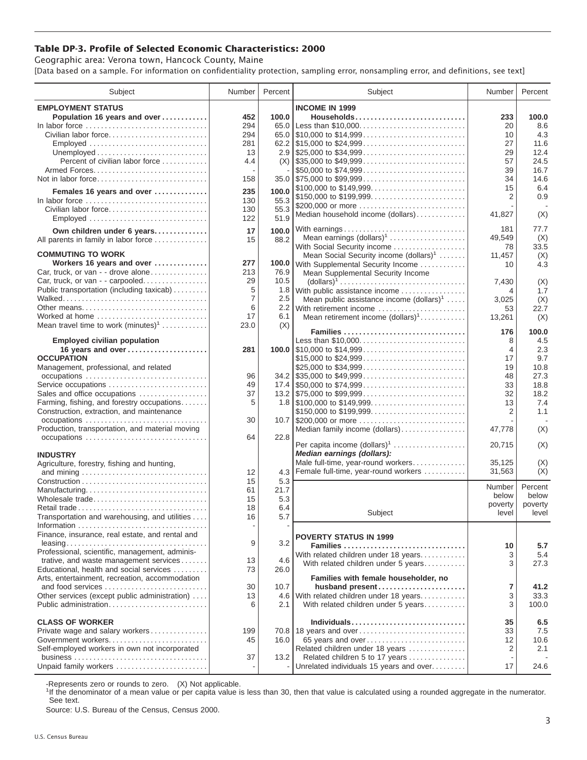## **Table DP-3. Profile of Selected Economic Characteristics: 2000**

Geographic area: Verona town, Hancock County, Maine [Data based on a sample. For information on confidentiality protection, sampling error, nonsampling error, and definitions, see text]

| Subject                                                                         | Number | Percent | Subject                                                                                | Number         | Percent |
|---------------------------------------------------------------------------------|--------|---------|----------------------------------------------------------------------------------------|----------------|---------|
| <b>EMPLOYMENT STATUS</b>                                                        |        |         | <b>INCOME IN 1999</b>                                                                  |                |         |
| Population 16 years and over                                                    | 452    | 100.0   | Households                                                                             | 233            | 100.0   |
| In labor force                                                                  | 294    | 65.0    | Less than \$10,000                                                                     | 20             | 8.6     |
| Civilian labor force                                                            | 294    |         |                                                                                        | 10             | 4.3     |
|                                                                                 |        |         |                                                                                        | 27             | 11.6    |
| Employed                                                                        | 281    |         |                                                                                        |                |         |
|                                                                                 | 13     |         |                                                                                        | 29             | 12.4    |
| Percent of civilian labor force                                                 | 4.4    |         | $(X)$ \\ \$35,000 to \$49,999                                                          | 57             | 24.5    |
|                                                                                 |        |         | \$50,000 to \$74,999                                                                   | 39             | 16.7    |
| Not in labor force                                                              | 158    |         |                                                                                        | 34             | 14.6    |
| Females 16 years and over                                                       | 235    | 100.0   | \$100,000 to \$149,999                                                                 | 15             | 6.4     |
| In labor force $\ldots \ldots \ldots \ldots \ldots \ldots \ldots \ldots \ldots$ | 130    | 55.3    | \$150,000 to \$199,999                                                                 | $\overline{2}$ | 0.9     |
| Civilian labor force                                                            |        | 55.3    | \$200,000 or more                                                                      |                |         |
|                                                                                 | 130    |         | Median household income (dollars)                                                      | 41,827         | (X)     |
| Employed                                                                        | 122    | 51.9    |                                                                                        |                |         |
| Own children under 6 years                                                      | 17     | 100.0   | With earnings                                                                          | 181            | 77.7    |
| All parents in family in labor force                                            | 15     | 88.2    | Mean earnings $(dollars)1$                                                             | 49,549         | (X)     |
|                                                                                 |        |         | With Social Security income                                                            | 78             | 33.5    |
| <b>COMMUTING TO WORK</b>                                                        |        |         | Mean Social Security income $(dollars)^1$                                              | 11,457         | (X)     |
| Workers 16 years and over                                                       | 277    | 100.0   | With Supplemental Security Income                                                      | 10             | 4.3     |
| Car, truck, or van - - drove alone                                              | 213    | 76.9    | Mean Supplemental Security Income                                                      |                |         |
| Car, truck, or van - - carpooled                                                | 29     | 10.5    | $\text{(dollars)}^1 \dots \dots \dots \dots \dots \dots \dots \dots \dots \dots \dots$ | 7,430          | (X)     |
| Public transportation (including taxicab)                                       | 5      | 1.8     | With public assistance income                                                          | 4              | 1.7     |
|                                                                                 | 7      | $2.5\,$ | Mean public assistance income $(dollars)1 \ldots$ .                                    | 3,025          | (X)     |
| Other means                                                                     | 6      |         | 2.2 With retirement income                                                             | 53             | 22.7    |
| Worked at home                                                                  | 17     | 6.1     | Mean retirement income $(dollars)1$                                                    | 13,261         | (X)     |
| Mean travel time to work $(minutes)^1$                                          | 23.0   | (X)     |                                                                                        |                |         |
|                                                                                 |        |         | Families                                                                               | 176            | 100.0   |
| <b>Employed civilian population</b>                                             |        |         | Less than \$10,000                                                                     | 8              | 4.5     |
| 16 years and over                                                               | 281    |         |                                                                                        | $\overline{4}$ | 2.3     |
| <b>OCCUPATION</b>                                                               |        |         | \$15,000 to \$24,999                                                                   | 17             | 9.7     |
| Management, professional, and related                                           |        |         | \$25,000 to \$34,999                                                                   | 19             | 10.8    |
|                                                                                 | 96     |         | $34.2$ \ \$35,000 to \$49,999                                                          | 48             | 27.3    |
| Service occupations                                                             | 49     |         |                                                                                        | 33             | 18.8    |
|                                                                                 |        |         |                                                                                        |                |         |
| Sales and office occupations                                                    | 37     |         |                                                                                        | 32             | 18.2    |
| Farming, fishing, and forestry occupations                                      | 5      |         |                                                                                        | 13             | 7.4     |
| Construction, extraction, and maintenance                                       |        |         | \$150,000 to \$199,999                                                                 | 2              | 1.1     |
| occupations                                                                     | 30     |         | 10.7 \$200,000 or more                                                                 |                |         |
| Production, transportation, and material moving                                 |        |         | Median family income (dollars)                                                         | 47,778         | (X)     |
| occupations                                                                     | 64     | 22.8    |                                                                                        |                |         |
|                                                                                 |        |         | Per capita income $(dollars)1$                                                         | 20,715         | (X)     |
| <b>INDUSTRY</b>                                                                 |        |         | Median earnings (dollars):                                                             |                |         |
| Agriculture, forestry, fishing and hunting,                                     |        |         | Male full-time, year-round workers                                                     | 35,125         | (X)     |
|                                                                                 | 12     | 4.3     | Female full-time, year-round workers                                                   | 31,563         | (X)     |
|                                                                                 | 15     | 5.3     |                                                                                        |                |         |
| Manufacturing                                                                   | 61     | 21.7    |                                                                                        | Number         | Percent |
| Wholesale trade                                                                 | 15     | 5.3     |                                                                                        | below          | below   |
| Retail trade                                                                    | 18     | 6.4     |                                                                                        | poverty        | poverty |
| Transportation and warehousing, and utilities                                   | 16     | 5.7     | Subject                                                                                | level          | level   |
|                                                                                 |        |         |                                                                                        |                |         |
| Finance, insurance, real estate, and rental and                                 |        |         |                                                                                        |                |         |
|                                                                                 | 9      | 3.2     | <b>POVERTY STATUS IN 1999</b>                                                          |                |         |
| Professional, scientific, management, adminis-                                  |        |         | Families                                                                               | 10             | 5.7     |
| trative, and waste management services                                          | 13     | 4.6     | With related children under 18 years                                                   | 3              | 5.4     |
| Educational, health and social services                                         | 73     | 26.0    | With related children under 5 years                                                    | 3              | 27.3    |
|                                                                                 |        |         |                                                                                        |                |         |
| Arts, entertainment, recreation, accommodation                                  | 30     | 10.7    | Families with female householder, no                                                   | 7              | 41.2    |
| and food services                                                               |        |         | husband present                                                                        |                |         |
| Other services (except public administration)                                   | 13     | 4.6     | With related children under 18 years                                                   | 3              | 33.3    |
| Public administration                                                           | 6      | 2.1     | With related children under 5 years                                                    | 3              | 100.0   |
|                                                                                 |        |         |                                                                                        |                |         |
| <b>CLASS OF WORKER</b>                                                          |        |         | Individuals                                                                            | 35             | 6.5     |
| Private wage and salary workers                                                 | 199    |         |                                                                                        | 33             | 7.5     |
| Government workers                                                              | 45     | 16.0    | 65 years and over                                                                      | 12             | 10.6    |
| Self-employed workers in own not incorporated                                   |        |         | Related children under 18 years                                                        | 2              | 2.1     |
|                                                                                 | 37     | 13.2    | Related children 5 to 17 years                                                         |                |         |
| Unpaid family workers                                                           |        |         | Unrelated individuals 15 years and over                                                | 17             | 24.6    |

-Represents zero or rounds to zero. (X) Not applicable.

<sup>1</sup>If the denominator of a mean value or per capita value is less than 30, then that value is calculated using a rounded aggregate in the numerator. See text.

Source: U.S. Bureau of the Census, Census 2000.